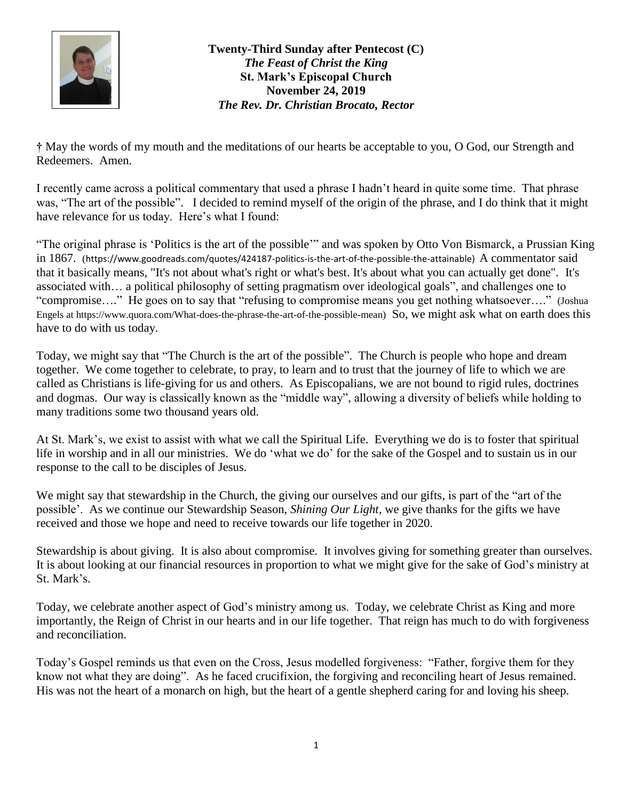

**Twenty-Third Sunday after Pentecost (C)** *The Feast of Christ the King* **St. Mark's Episcopal Church November 24, 2019** *The Rev. Dr. Christian Brocato, Rector*

**†** May the words of my mouth and the meditations of our hearts be acceptable to you, O God, our Strength and Redeemers. Amen.

I recently came across a political commentary that used a phrase I hadn't heard in quite some time. That phrase was, "The art of the possible". I decided to remind myself of the origin of the phrase, and I do think that it might have relevance for us today. Here's what I found:

"The original phrase is 'Politics is the art of the possible'" and was spoken by Otto Von Bismarck, a Prussian King in 1867. ([https://www.goodreads.com/quotes/424187-politics-is-the-art-of-the-possible-the-attainable\)](https://www.goodreads.com/quotes/424187-politics-is-the-art-of-the-possible-the-attainable) A commentator said that it basically means, "It's not about what's right or what's best. It's about what you can actually get done". It's associated with… a political philosophy of setting pragmatism over ideological goals", and challenges one to "compromise…." He goes on to say that "refusing to compromise means you get nothing whatsoever…." (Joshua Engels at [https://www.quora.com/What-does-the-phrase-the-art-of-the-possible-mean\)](https://www.quora.com/What-does-the-phrase-the-art-of-the-possible-mean) So, we might ask what on earth does this have to do with us today.

Today, we might say that "The Church is the art of the possible". The Church is people who hope and dream together. We come together to celebrate, to pray, to learn and to trust that the journey of life to which we are called as Christians is life-giving for us and others. As Episcopalians, we are not bound to rigid rules, doctrines and dogmas. Our way is classically known as the "middle way", allowing a diversity of beliefs while holding to many traditions some two thousand years old.

At St. Mark's, we exist to assist with what we call the Spiritual Life. Everything we do is to foster that spiritual life in worship and in all our ministries. We do 'what we do' for the sake of the Gospel and to sustain us in our response to the call to be disciples of Jesus.

We might say that stewardship in the Church, the giving our ourselves and our gifts, is part of the "art of the possible'. As we continue our Stewardship Season, *Shining Our Light,* we give thanks for the gifts we have received and those we hope and need to receive towards our life together in 2020.

Stewardship is about giving. It is also about compromise. It involves giving for something greater than ourselves. It is about looking at our financial resources in proportion to what we might give for the sake of God's ministry at St. Mark's.

Today, we celebrate another aspect of God's ministry among us. Today, we celebrate Christ as King and more importantly, the Reign of Christ in our hearts and in our life together. That reign has much to do with forgiveness and reconciliation.

Today's Gospel reminds us that even on the Cross, Jesus modelled forgiveness: "Father, forgive them for they know not what they are doing". As he faced crucifixion, the forgiving and reconciling heart of Jesus remained. His was not the heart of a monarch on high, but the heart of a gentle shepherd caring for and loving his sheep.